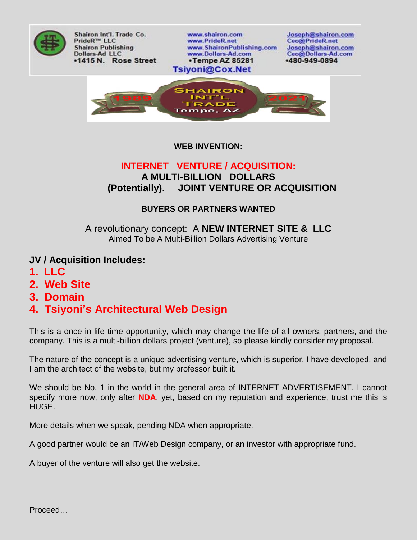

Shairon Int'l. Trade Co. PrideR™ LLC **Shairon Publishing Dollars-Ad LLC** •1415 N. Rose Street

www.shairon.com www.PrideR.net www.ShaironPublishing.com www.Dollars-Ad.com •Tempe AZ 85281 Tsiyoni@Cox.Net

Joseph@shairon.com<br>Ceo@PrideR.net Joseph@shairon.com Ceo@Dollars-Ad.com -480-949-0894



**WEB INVENTION:**

## **INTERNET VENTURE / ACQUISITION: A MULTI-BILLION DOLLARS (Potentially). JOINT VENTURE OR ACQUISITION**

#### **BUYERS OR PARTNERS WANTED**

A revolutionary concept: A **NEW INTERNET SITE & LLC** Aimed To be A Multi-Billion Dollars Advertising Venture

### **JV / Acquisition Includes:**

- **1. LLC**
- **2. Web Site**
- **3. Domain**

# **4. Tsiyoni's Architectural Web Design**

This is a once in life time opportunity, which may change the life of all owners, partners, and the company. This is a multi-billion dollars project (venture), so please kindly consider my proposal.

The nature of the concept is a unique advertising venture, which is superior. I have developed, and I am the architect of the website, but my professor built it.

We should be No. 1 in the world in the general area of INTERNET ADVERTISEMENT. I cannot specify more now, only after **NDA**, yet, based on my reputation and experience, trust me this is HUGE.

More details when we speak, pending NDA when appropriate.

A good partner would be an IT/Web Design company, or an investor with appropriate fund.

A buyer of the venture will also get the website.